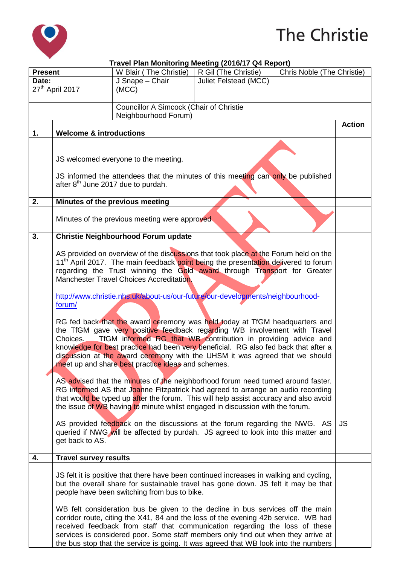

## The Christie

|                  |                                                                                                                                                                                                                                                                   | Travel Plan Monitoring Meeting (2016/17 Q4 Report)                                                                                                                   |                       |                            |               |  |
|------------------|-------------------------------------------------------------------------------------------------------------------------------------------------------------------------------------------------------------------------------------------------------------------|----------------------------------------------------------------------------------------------------------------------------------------------------------------------|-----------------------|----------------------------|---------------|--|
| <b>Present</b>   |                                                                                                                                                                                                                                                                   | W Blair (The Christie)                                                                                                                                               | R Gil (The Christie)  | Chris Noble (The Christie) |               |  |
| Date:            |                                                                                                                                                                                                                                                                   | J Snape - Chair                                                                                                                                                      | Juliet Felstead (MCC) |                            |               |  |
|                  | 27 <sup>th</sup> April 2017                                                                                                                                                                                                                                       | (MCC)                                                                                                                                                                |                       |                            |               |  |
|                  |                                                                                                                                                                                                                                                                   |                                                                                                                                                                      |                       |                            |               |  |
|                  |                                                                                                                                                                                                                                                                   | Councillor A Simcock (Chair of Christie                                                                                                                              |                       |                            |               |  |
|                  |                                                                                                                                                                                                                                                                   | Neighbourhood Forum)                                                                                                                                                 |                       |                            |               |  |
|                  |                                                                                                                                                                                                                                                                   |                                                                                                                                                                      |                       |                            | <b>Action</b> |  |
| $\overline{1}$ . | <b>Welcome &amp; introductions</b>                                                                                                                                                                                                                                |                                                                                                                                                                      |                       |                            |               |  |
|                  |                                                                                                                                                                                                                                                                   |                                                                                                                                                                      |                       |                            |               |  |
|                  |                                                                                                                                                                                                                                                                   |                                                                                                                                                                      |                       |                            |               |  |
|                  | JS welcomed everyone to the meeting.                                                                                                                                                                                                                              |                                                                                                                                                                      |                       |                            |               |  |
|                  |                                                                                                                                                                                                                                                                   |                                                                                                                                                                      |                       |                            |               |  |
|                  | JS informed the attendees that the minutes of this meeting can only be published                                                                                                                                                                                  |                                                                                                                                                                      |                       |                            |               |  |
|                  | after 8 <sup>th</sup> June 2017 due to purdah.                                                                                                                                                                                                                    |                                                                                                                                                                      |                       |                            |               |  |
| 2.               |                                                                                                                                                                                                                                                                   | Minutes of the previous meeting                                                                                                                                      |                       |                            |               |  |
|                  |                                                                                                                                                                                                                                                                   |                                                                                                                                                                      |                       |                            |               |  |
|                  |                                                                                                                                                                                                                                                                   | Minutes of the previous meeting were approved                                                                                                                        |                       |                            |               |  |
|                  |                                                                                                                                                                                                                                                                   |                                                                                                                                                                      |                       |                            |               |  |
| 3.               |                                                                                                                                                                                                                                                                   | Christie Neighbourhood Forum update                                                                                                                                  |                       |                            |               |  |
|                  |                                                                                                                                                                                                                                                                   |                                                                                                                                                                      |                       |                            |               |  |
|                  |                                                                                                                                                                                                                                                                   |                                                                                                                                                                      |                       |                            |               |  |
|                  | AS provided on overview of the discussions that took place at the Forum held on the<br>11 <sup>th</sup> April 2017. The main feedback point being the presentation delivered to forum<br>regarding the Trust winning the Gold award through Transport for Greater |                                                                                                                                                                      |                       |                            |               |  |
|                  |                                                                                                                                                                                                                                                                   |                                                                                                                                                                      |                       |                            |               |  |
|                  |                                                                                                                                                                                                                                                                   | Manchester Travel Choices Accreditation.                                                                                                                             |                       |                            |               |  |
|                  |                                                                                                                                                                                                                                                                   |                                                                                                                                                                      |                       |                            |               |  |
|                  |                                                                                                                                                                                                                                                                   | http://www.christie.nhs.uk/about-us/our-future/our-developments/neighbourhood-                                                                                       |                       |                            |               |  |
|                  | forum/                                                                                                                                                                                                                                                            |                                                                                                                                                                      |                       |                            |               |  |
|                  |                                                                                                                                                                                                                                                                   |                                                                                                                                                                      |                       |                            |               |  |
|                  |                                                                                                                                                                                                                                                                   | RG fed back that the award ceremony was held today at TfGM headquarters and                                                                                          |                       |                            |               |  |
|                  | the TfGM gave very positive feedback regarding WB involvement with Travel                                                                                                                                                                                         |                                                                                                                                                                      |                       |                            |               |  |
|                  | Choices.                                                                                                                                                                                                                                                          | TfGM informed RG that WB contribution in providing advice and                                                                                                        |                       |                            |               |  |
|                  | knowledge for best practice had been very beneficial. RG also fed back that after a                                                                                                                                                                               |                                                                                                                                                                      |                       |                            |               |  |
|                  | discussion at the award ceremony with the UHSM it was agreed that we should<br>meet up and share best practice ideas and schemes.                                                                                                                                 |                                                                                                                                                                      |                       |                            |               |  |
|                  |                                                                                                                                                                                                                                                                   |                                                                                                                                                                      |                       |                            |               |  |
|                  |                                                                                                                                                                                                                                                                   | AS advised that the minutes of the neighborhood forum need turned around faster.                                                                                     |                       |                            |               |  |
|                  |                                                                                                                                                                                                                                                                   |                                                                                                                                                                      |                       |                            |               |  |
|                  | RG informed AS that Joanne Fitzpatrick had agreed to arrange an audio recording<br>that would be typed up after the forum. This will help assist accuracy and also avoid                                                                                          |                                                                                                                                                                      |                       |                            |               |  |
|                  |                                                                                                                                                                                                                                                                   | the issue of WB having to minute whilst engaged in discussion with the forum.                                                                                        |                       |                            |               |  |
|                  |                                                                                                                                                                                                                                                                   |                                                                                                                                                                      |                       |                            |               |  |
|                  |                                                                                                                                                                                                                                                                   | AS provided feedback on the discussions at the forum regarding the NWG. AS                                                                                           |                       |                            | <b>JS</b>     |  |
|                  |                                                                                                                                                                                                                                                                   | queried if NWG will be affected by purdah. JS agreed to look into this matter and                                                                                    |                       |                            |               |  |
|                  | get back to AS.                                                                                                                                                                                                                                                   |                                                                                                                                                                      |                       |                            |               |  |
|                  |                                                                                                                                                                                                                                                                   |                                                                                                                                                                      |                       |                            |               |  |
| 4.               | <b>Travel survey results</b>                                                                                                                                                                                                                                      |                                                                                                                                                                      |                       |                            |               |  |
|                  |                                                                                                                                                                                                                                                                   |                                                                                                                                                                      |                       |                            |               |  |
|                  | JS felt it is positive that there have been continued increases in walking and cycling,                                                                                                                                                                           |                                                                                                                                                                      |                       |                            |               |  |
|                  | but the overall share for sustainable travel has gone down. JS felt it may be that                                                                                                                                                                                |                                                                                                                                                                      |                       |                            |               |  |
|                  |                                                                                                                                                                                                                                                                   | people have been switching from bus to bike.                                                                                                                         |                       |                            |               |  |
|                  |                                                                                                                                                                                                                                                                   |                                                                                                                                                                      |                       |                            |               |  |
|                  |                                                                                                                                                                                                                                                                   | WB felt consideration bus be given to the decline in bus services off the main<br>corridor route, citing the X41, 84 and the loss of the evening 42b service. WB had |                       |                            |               |  |
|                  |                                                                                                                                                                                                                                                                   | received feedback from staff that communication regarding the loss of these                                                                                          |                       |                            |               |  |
|                  |                                                                                                                                                                                                                                                                   | services is considered poor. Some staff members only find out when they arrive at                                                                                    |                       |                            |               |  |
|                  |                                                                                                                                                                                                                                                                   | the bus stop that the service is going. It was agreed that WB look into the numbers                                                                                  |                       |                            |               |  |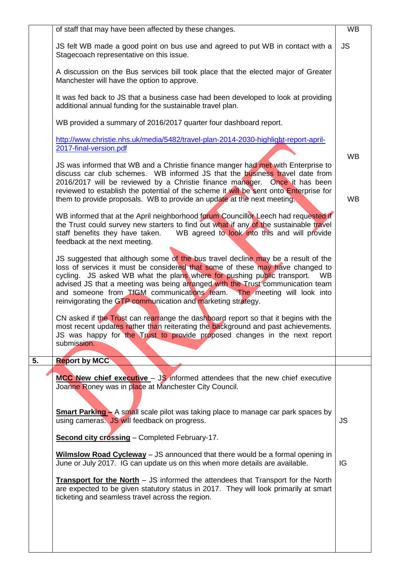|    | of staff that may have been affected by these changes.                                                                                                                                                                                                                                                                                                                                                                                                                        | <b>WB</b>              |  |
|----|-------------------------------------------------------------------------------------------------------------------------------------------------------------------------------------------------------------------------------------------------------------------------------------------------------------------------------------------------------------------------------------------------------------------------------------------------------------------------------|------------------------|--|
|    | JS felt WB made a good point on bus use and agreed to put WB in contact with a<br>Stagecoach representative on this issue.                                                                                                                                                                                                                                                                                                                                                    |                        |  |
|    | A discussion on the Bus services bill took place that the elected major of Greater<br>Manchester will have the option to approve.                                                                                                                                                                                                                                                                                                                                             |                        |  |
|    | It was fed back to JS that a business case had been developed to look at providing<br>additional annual funding for the sustainable travel plan.                                                                                                                                                                                                                                                                                                                              |                        |  |
|    | WB provided a summary of 2016/2017 quarter four dashboard report.                                                                                                                                                                                                                                                                                                                                                                                                             |                        |  |
|    | http://www.christie.nhs.uk/media/5482/travel-plan-2014-2030-highlight-report-april-<br>2017-final-version.pdf                                                                                                                                                                                                                                                                                                                                                                 |                        |  |
|    | JS was informed that WB and a Christie finance manger had met with Enterprise to<br>discuss car club schemes. WB informed JS that the business travel date from<br>2016/2017 will be reviewed by a Christie finance manager. Once it has been<br>reviewed to establish the potential of the scheme it will be sent onto Enterprise for<br>them to provide proposals. WB to provide an update at the next meeting.                                                             | <b>WB</b><br><b>WB</b> |  |
|    | WB informed that at the April neighborhood forum Councillor Leech had requested if<br>the Trust could survey new starters to find out what if any of the sustainable travel<br>WB agreed to look into this and will provide<br>staff benefits they have taken.<br>feedback at the next meeting.                                                                                                                                                                               |                        |  |
|    | JS suggested that although some of the bus travel decline may be a result of the<br>loss of services it must be considered that some of these may have changed to<br>cycling. JS asked WB what the plans where for pushing public transport.<br>WB<br>advised JS that a meeting was being arranged with the Trust communication team<br>and someone from TfGM communications team. The meeting will look into<br>reinvigorating the GTP communication and marketing strategy. |                        |  |
|    | CN asked if the Trust can rearrange the dashboard report so that it begins with the<br>most recent updates rather than reiterating the background and past achievements.<br>JS was happy for the Trust to provide proposed changes in the next report<br>submission.                                                                                                                                                                                                          |                        |  |
| 5. | <b>Report by MCC</b>                                                                                                                                                                                                                                                                                                                                                                                                                                                          |                        |  |
|    | $MCC$ New chief executive $-$ JS informed attendees that the new chief executive<br>Joanne Roney was in place at Manchester City Council.                                                                                                                                                                                                                                                                                                                                     |                        |  |
|    | <b>Smart Parking - A small scale pilot was taking place to manage car park spaces by</b><br>using cameras. JS will feedback on progress.                                                                                                                                                                                                                                                                                                                                      | <b>JS</b>              |  |
|    | <b>Second city crossing</b> - Completed February-17.                                                                                                                                                                                                                                                                                                                                                                                                                          |                        |  |
|    | Wilmslow Road Cycleway - JS announced that there would be a formal opening in<br>June or July 2017. IG can update us on this when more details are available.                                                                                                                                                                                                                                                                                                                 | IG                     |  |
|    | <b>Transport for the North</b> – JS informed the attendees that Transport for the North<br>are expected to be given statutory status in 2017. They will look primarily at smart<br>ticketing and seamless travel across the region.                                                                                                                                                                                                                                           |                        |  |
|    |                                                                                                                                                                                                                                                                                                                                                                                                                                                                               |                        |  |
|    |                                                                                                                                                                                                                                                                                                                                                                                                                                                                               |                        |  |